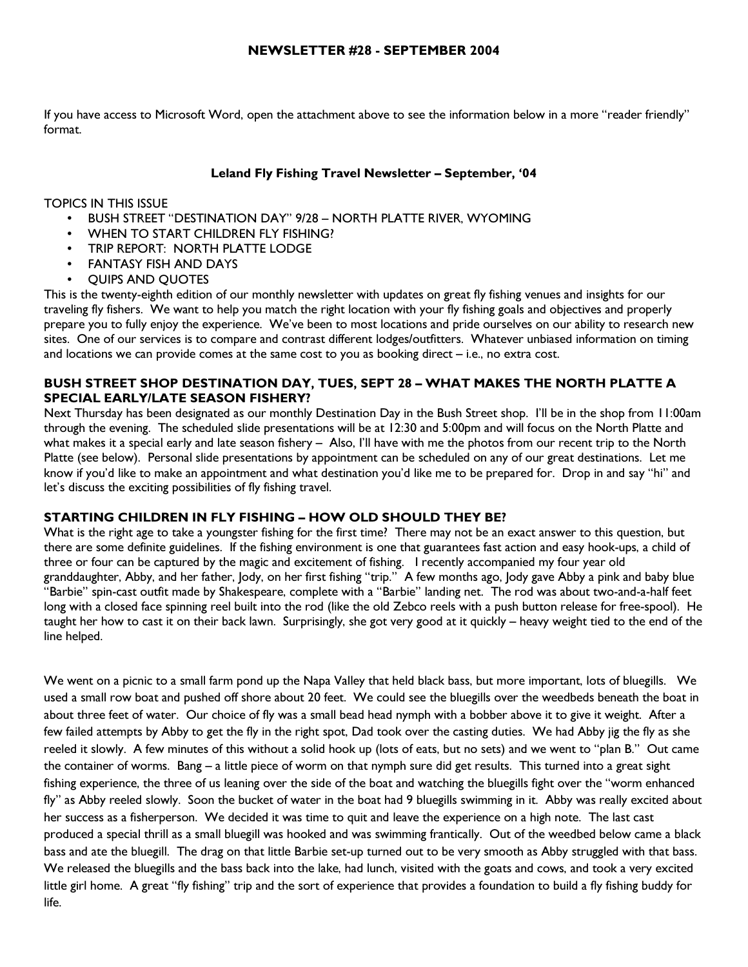If you have access to Microsoft Word, open the attachment above to see the information below in a more "reader friendly" format.

### Leland Fly Fishing Travel Newsletter – September, '04

### TOPICS IN THIS ISSUE

- BUSH STREET "DESTINATION DAY" 9/28 NORTH PLATTE RIVER, WYOMING
- WHEN TO START CHILDREN FLY FISHING?
- TRIP REPORT: NORTH PLATTE LODGE
- FANTASY FISH AND DAYS
- QUIPS AND QUOTES

This is the twenty-eighth edition of our monthly newsletter with updates on great fly fishing venues and insights for our traveling fly fishers. We want to help you match the right location with your fly fishing goals and objectives and properly prepare you to fully enjoy the experience. We've been to most locations and pride ourselves on our ability to research new sites. One of our services is to compare and contrast different lodges/outfitters. Whatever unbiased information on timing and locations we can provide comes at the same cost to you as booking direct – i.e., no extra cost.

## BUSH STREET SHOP DESTINATION DAY, TUES, SEPT 28 – WHAT MAKES THE NORTH PLATTE A SPECIAL EARLY/LATE SEASON FISHERY?

Next Thursday has been designated as our monthly Destination Day in the Bush Street shop. I'll be in the shop from 11:00am through the evening. The scheduled slide presentations will be at 12:30 and 5:00pm and will focus on the North Platte and what makes it a special early and late season fishery – Also, I'll have with me the photos from our recent trip to the North Platte (see below). Personal slide presentations by appointment can be scheduled on any of our great destinations. Let me know if you'd like to make an appointment and what destination you'd like me to be prepared for. Drop in and say "hi" and let's discuss the exciting possibilities of fly fishing travel.

## STARTING CHILDREN IN FLY FISHING – HOW OLD SHOULD THEY BE?

What is the right age to take a youngster fishing for the first time? There may not be an exact answer to this question, but there are some definite guidelines. If the fishing environment is one that guarantees fast action and easy hook-ups, a child of three or four can be captured by the magic and excitement of fishing. I recently accompanied my four year old granddaughter, Abby, and her father, Jody, on her first fishing "trip." A few months ago, Jody gave Abby a pink and baby blue "Barbie" spin-cast outfit made by Shakespeare, complete with a "Barbie" landing net. The rod was about two-and-a-half feet long with a closed face spinning reel built into the rod (like the old Zebco reels with a push button release for free-spool). He taught her how to cast it on their back lawn. Surprisingly, she got very good at it quickly – heavy weight tied to the end of the line helped.

We went on a picnic to a small farm pond up the Napa Valley that held black bass, but more important, lots of bluegills. We used a small row boat and pushed off shore about 20 feet. We could see the bluegills over the weedbeds beneath the boat in about three feet of water. Our choice of fly was a small bead head nymph with a bobber above it to give it weight. After a few failed attempts by Abby to get the fly in the right spot, Dad took over the casting duties. We had Abby jig the fly as she reeled it slowly. A few minutes of this without a solid hook up (lots of eats, but no sets) and we went to "plan B." Out came the container of worms. Bang – a little piece of worm on that nymph sure did get results. This turned into a great sight fishing experience, the three of us leaning over the side of the boat and watching the bluegills fight over the "worm enhanced fly" as Abby reeled slowly. Soon the bucket of water in the boat had 9 bluegills swimming in it. Abby was really excited about her success as a fisherperson. We decided it was time to quit and leave the experience on a high note. The last cast produced a special thrill as a small bluegill was hooked and was swimming frantically. Out of the weedbed below came a black bass and ate the bluegill. The drag on that little Barbie set-up turned out to be very smooth as Abby struggled with that bass. We released the bluegills and the bass back into the lake, had lunch, visited with the goats and cows, and took a very excited little girl home. A great "fly fishing" trip and the sort of experience that provides a foundation to build a fly fishing buddy for life.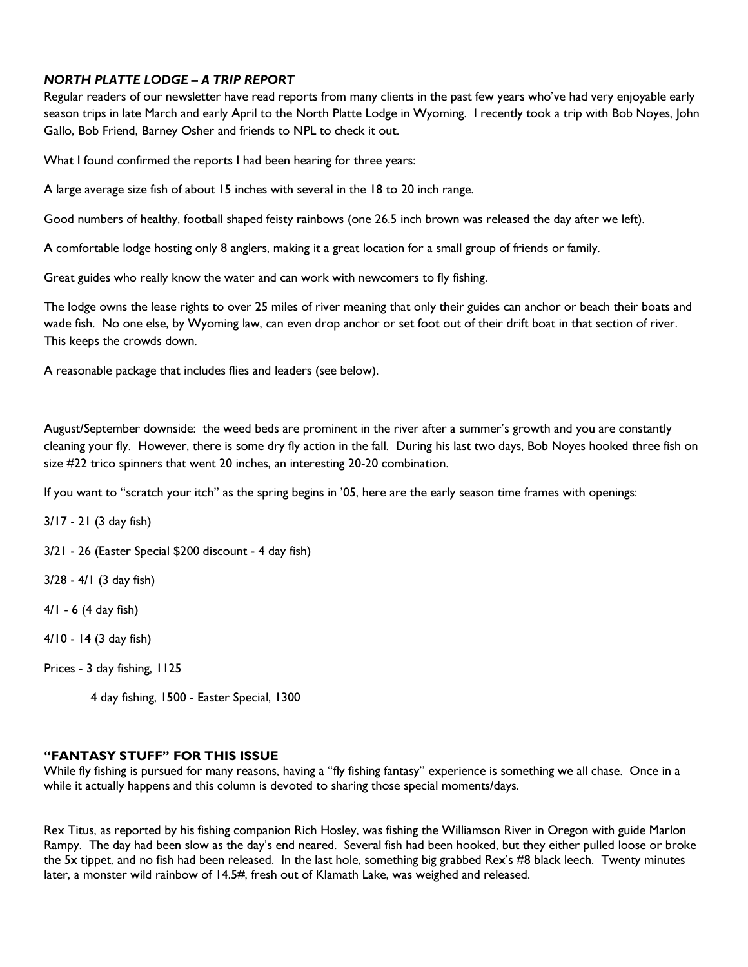# NORTH PLATTE LODGE – A TRIP REPORT

Regular readers of our newsletter have read reports from many clients in the past few years who've had very enjoyable early season trips in late March and early April to the North Platte Lodge in Wyoming. I recently took a trip with Bob Noyes, John Gallo, Bob Friend, Barney Osher and friends to NPL to check it out.

What I found confirmed the reports I had been hearing for three years:

A large average size fish of about 15 inches with several in the 18 to 20 inch range.

Good numbers of healthy, football shaped feisty rainbows (one 26.5 inch brown was released the day after we left).

A comfortable lodge hosting only 8 anglers, making it a great location for a small group of friends or family.

Great guides who really know the water and can work with newcomers to fly fishing.

The lodge owns the lease rights to over 25 miles of river meaning that only their guides can anchor or beach their boats and wade fish. No one else, by Wyoming law, can even drop anchor or set foot out of their drift boat in that section of river. This keeps the crowds down.

A reasonable package that includes flies and leaders (see below).

August/September downside: the weed beds are prominent in the river after a summer's growth and you are constantly cleaning your fly. However, there is some dry fly action in the fall. During his last two days, Bob Noyes hooked three fish on size #22 trico spinners that went 20 inches, an interesting 20-20 combination.

If you want to "scratch your itch" as the spring begins in '05, here are the early season time frames with openings:

3/17 - 21 (3 day fish)

3/21 - 26 (Easter Special \$200 discount - 4 day fish)

3/28 - 4/1 (3 day fish)

4/1 - 6 (4 day fish)

4/10 - 14 (3 day fish)

Prices - 3 day fishing, 1125

4 day fishing, 1500 - Easter Special, 1300

#### "FANTASY STUFF" FOR THIS ISSUE

While fly fishing is pursued for many reasons, having a "fly fishing fantasy" experience is something we all chase. Once in a while it actually happens and this column is devoted to sharing those special moments/days.

Rex Titus, as reported by his fishing companion Rich Hosley, was fishing the Williamson River in Oregon with guide Marlon Rampy. The day had been slow as the day's end neared. Several fish had been hooked, but they either pulled loose or broke the 5x tippet, and no fish had been released. In the last hole, something big grabbed Rex's #8 black leech. Twenty minutes later, a monster wild rainbow of 14.5#, fresh out of Klamath Lake, was weighed and released.